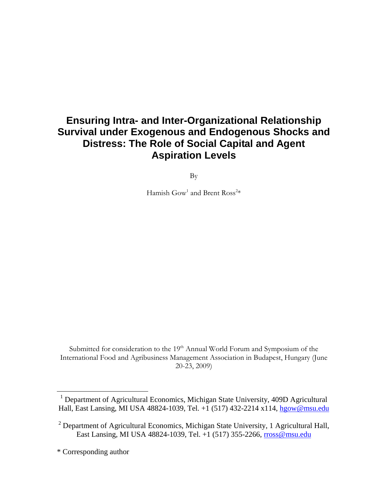# **Ensuring Intra- and Inter-Organizational Relationship Survival under Exogenous and Endogenous Shocks and Distress: The Role of Social Capital and Agent Aspiration Levels**

By

Hamish  $\text{Gow}^1$  and Brent  $\text{Ross}^{2*}$ 

Submitted for consideration to the 19<sup>th</sup> Annual World Forum and Symposium of the International Food and Agribusiness Management Association in Budapest, Hungary (June 20-23, 2009)

<u>.</u>

<sup>&</sup>lt;sup>1</sup> Department of Agricultural Economics, Michigan State University, 409D Agricultural Hall, East Lansing, MI USA 48824-1039, Tel. +1 (517) 432-2214 x114, hgow@msu.edu

<sup>&</sup>lt;sup>2</sup> Department of Agricultural Economics, Michigan State University, 1 Agricultural Hall, East Lansing, MI USA 48824-1039, Tel. +1 (517) 355-2266, rross@msu.edu

<sup>\*</sup> Corresponding author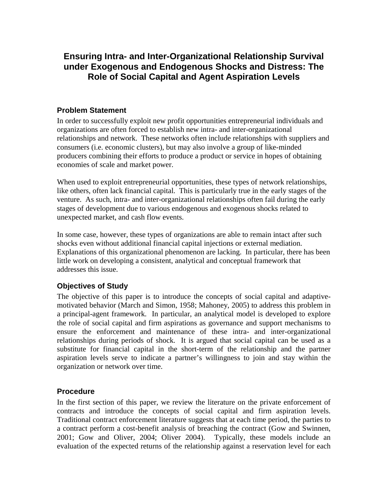# **Ensuring Intra- and Inter-Organizational Relationship Survival under Exogenous and Endogenous Shocks and Distress: The Role of Social Capital and Agent Aspiration Levels**

#### **Problem Statement**

In order to successfully exploit new profit opportunities entrepreneurial individuals and organizations are often forced to establish new intra- and inter-organizational relationships and network. These networks often include relationships with suppliers and consumers (i.e. economic clusters), but may also involve a group of like-minded producers combining their efforts to produce a product or service in hopes of obtaining economies of scale and market power.

When used to exploit entrepreneurial opportunities, these types of network relationships, like others, often lack financial capital. This is particularly true in the early stages of the venture. As such, intra- and inter-organizational relationships often fail during the early stages of development due to various endogenous and exogenous shocks related to unexpected market, and cash flow events.

In some case, however, these types of organizations are able to remain intact after such shocks even without additional financial capital injections or external mediation. Explanations of this organizational phenomenon are lacking. In particular, there has been little work on developing a consistent, analytical and conceptual framework that addresses this issue.

## **Objectives of Study**

The objective of this paper is to introduce the concepts of social capital and adaptivemotivated behavior (March and Simon, 1958; Mahoney, 2005) to address this problem in a principal-agent framework. In particular, an analytical model is developed to explore the role of social capital and firm aspirations as governance and support mechanisms to ensure the enforcement and maintenance of these intra- and inter-organizational relationships during periods of shock. It is argued that social capital can be used as a substitute for financial capital in the short-term of the relationship and the partner aspiration levels serve to indicate a partner's willingness to join and stay within the organization or network over time.

#### **Procedure**

In the first section of this paper, we review the literature on the private enforcement of contracts and introduce the concepts of social capital and firm aspiration levels. Traditional contract enforcement literature suggests that at each time period, the parties to a contract perform a cost-benefit analysis of breaching the contract (Gow and Swinnen, 2001; Gow and Oliver, 2004; Oliver 2004). Typically, these models include an evaluation of the expected returns of the relationship against a reservation level for each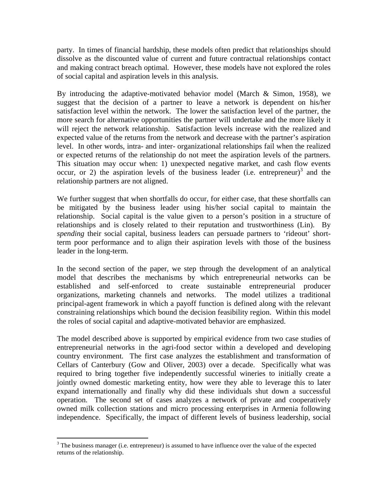party. In times of financial hardship, these models often predict that relationships should dissolve as the discounted value of current and future contractual relationships contact and making contract breach optimal. However, these models have not explored the roles of social capital and aspiration levels in this analysis.

By introducing the adaptive-motivated behavior model (March & Simon, 1958), we suggest that the decision of a partner to leave a network is dependent on his/her satisfaction level within the network. The lower the satisfaction level of the partner, the more search for alternative opportunities the partner will undertake and the more likely it will reject the network relationship. Satisfaction levels increase with the realized and expected value of the returns from the network and decrease with the partner's aspiration level. In other words, intra- and inter- organizational relationships fail when the realized or expected returns of the relationship do not meet the aspiration levels of the partners. This situation may occur when: 1) unexpected negative market, and cash flow events occur, or 2) the aspiration levels of the business leader (i.e. entrepreneur) $3$  and the relationship partners are not aligned.

We further suggest that when shortfalls do occur, for either case, that these shortfalls can be mitigated by the business leader using his/her social capital to maintain the relationship. Social capital is the value given to a person's position in a structure of relationships and is closely related to their reputation and trustworthiness (Lin). By *spending* their social capital, business leaders can persuade partners to 'rideout' shortterm poor performance and to align their aspiration levels with those of the business leader in the long-term.

In the second section of the paper, we step through the development of an analytical model that describes the mechanisms by which entrepreneurial networks can be established and self-enforced to create sustainable entrepreneurial producer organizations, marketing channels and networks. The model utilizes a traditional principal-agent framework in which a payoff function is defined along with the relevant constraining relationships which bound the decision feasibility region. Within this model the roles of social capital and adaptive-motivated behavior are emphasized.

The model described above is supported by empirical evidence from two case studies of entrepreneurial networks in the agri-food sector within a developed and developing country environment. The first case analyzes the establishment and transformation of Cellars of Canterbury (Gow and Oliver, 2003) over a decade. Specifically what was required to bring together five independently successful wineries to initially create a jointly owned domestic marketing entity, how were they able to leverage this to later expand internationally and finally why did these individuals shut down a successful operation. The second set of cases analyzes a network of private and cooperatively owned milk collection stations and micro processing enterprises in Armenia following independence. Specifically, the impact of different levels of business leadership, social

<sup>&</sup>lt;sup>3</sup> The business manager (i.e. entrepreneur) is assumed to have influence over the value of the expected returns of the relationship.